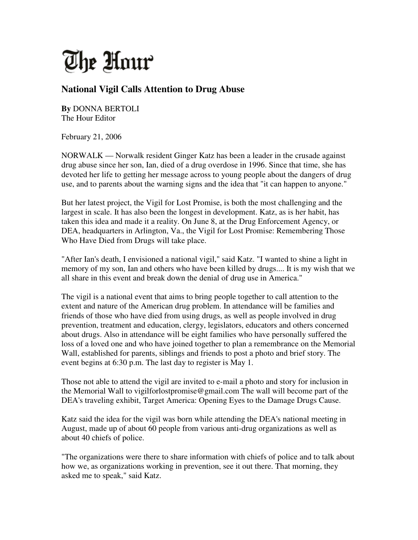

## **National Vigil Calls Attention to Drug Abuse**

**By** DONNA BERTOLI The Hour Editor

February 21, 2006

NORWALK — Norwalk resident Ginger Katz has been a leader in the crusade against drug abuse since her son, Ian, died of a drug overdose in 1996. Since that time, she has devoted her life to getting her message across to young people about the dangers of drug use, and to parents about the warning signs and the idea that "it can happen to anyone."

But her latest project, the Vigil for Lost Promise, is both the most challenging and the largest in scale. It has also been the longest in development. Katz, as is her habit, has taken this idea and made it a reality. On June 8, at the Drug Enforcement Agency, or DEA, headquarters in Arlington, Va., the Vigil for Lost Promise: Remembering Those Who Have Died from Drugs will take place.

"After Ian's death, I envisioned a national vigil," said Katz. "I wanted to shine a light in memory of my son, Ian and others who have been killed by drugs.... It is my wish that we all share in this event and break down the denial of drug use in America."

The vigil is a national event that aims to bring people together to call attention to the extent and nature of the American drug problem. In attendance will be families and friends of those who have died from using drugs, as well as people involved in drug prevention, treatment and education, clergy, legislators, educators and others concerned about drugs. Also in attendance will be eight families who have personally suffered the loss of a loved one and who have joined together to plan a remembrance on the Memorial Wall, established for parents, siblings and friends to post a photo and brief story. The event begins at 6:30 p.m. The last day to register is May 1.

Those not able to attend the vigil are invited to e-mail a photo and story for inclusion in the Memorial Wall to vigilforlostpromise@gmail.com The wall will become part of the DEA's traveling exhibit, Target America: Opening Eyes to the Damage Drugs Cause.

Katz said the idea for the vigil was born while attending the DEA's national meeting in August, made up of about 60 people from various anti-drug organizations as well as about 40 chiefs of police.

"The organizations were there to share information with chiefs of police and to talk about how we, as organizations working in prevention, see it out there. That morning, they asked me to speak," said Katz.